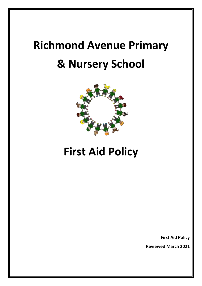# **Richmond Avenue Primary & Nursery School**



# **First Aid Policy**

**First Aid Policy**

**Reviewed March 2021**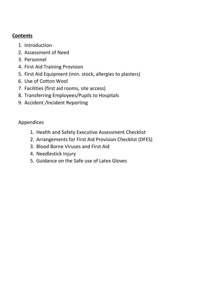## **Contents**

- 1. Introduction
- 2. Assessment of Need
- 3. Personnel
- 4. First Aid Training Provision
- 5. First Aid Equipment (min. stock, allergies to plasters)
- 6. Use of Cotton Wool
- 7. Facilities (first aid rooms, site access)
- 8. Transferring Employees/Pupils to Hospitals
- 9. Accident /Incident Reporting

## Appendices

- 1. Health and Safety Executive Assessment Checklist
- 2. Arrangements for First Aid Provision Checklist (DFES)
- 3. Blood Borne Viruses and First Aid
- 4. Needlestick Injury
- 5. Guidance on the Safe use of Latex Gloves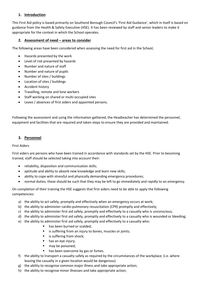#### **1. Introduction**

This First Aid policy is based primarily on Southend Borough Council's 'First Aid Guidance', which in itself is based on guidance from the Health & Safety Executive (HSE). It has been reviewed by staff and senior leaders to make it appropriate for the context in which the School operates.

#### **2. Assessment of need – areas to consider**

The following areas have been considered when assessing the need for first aid in the School;

- Hazards presented by the work
- Level of risk presented by hazards
- Number and nature of staff
- Number and nature of pupils
- Number of sites / buildings
- Location of sites / buildings
- Accident history
- Travelling, remote and lone workers
- Staff working on shared or multi-occupied sites
- Leave / absences of first aiders and appointed persons.

Following the assessment and using the information gathered, the Headteacher has determined the personnel, equipment and facilities that are required and taken steps to ensure they are provided and maintained.

#### **3. Personnel**

#### First Aiders

First aiders are persons who have been trained in accordance with standards set by the HSE. Prior to becoming trained, staff should be selected taking into account their:

- reliability, disposition and communication skills;
- aptitude and ability to absorb new knowledge and learn new skills;
- ability to cope with stressful and physically demanding emergency procedures;
- normal duties; these should be such that they may be left to go immediately and rapidly to an emergency.

On completion of their training the HSE suggests that first aiders need to be able to apply the following competencies:

- a) the ability to act safely, promptly and effectively when an emergency occurs at work;
- b) the ability to administer cardio-pulmonary resuscitation (CPR) promptly and effectively;
- c) the ability to administer first aid safely, promptly and effectively to a casualty who is unconscious;
- d) the ability to administer first aid safely, promptly and effectively to a casualty who is wounded or bleeding;
- e) the ability to administer first aid safely, promptly and effectively to a casualty who:
	- has been burned or scalded;
	- is suffering from an injury to bones, muscles or joints;
	- is suffering from shock;
	- has an eye injury;
	- may be poisoned;
	- has been overcome by gas or fumes.
- f) the ability to transport a casualty safely as required by the circumstances of the workplace; (i.e. where leaving the casualty in a given location would be dangerous)
- g) the ability to recognise common major illness and take appropriate action;
- h) the ability to recognise minor illnesses and take appropriate action;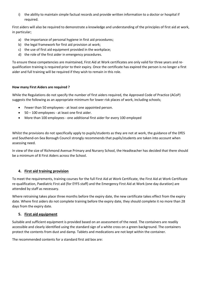i) the ability to maintain simple factual records and provide written information to a doctor or hospital if required.

First aiders will also be required to demonstrate a knowledge and understanding of the principles of first aid at work, in particular;

- a) the importance of personal hygiene in first aid procedures;
- b) the legal framework for first aid provision at work;
- c) the use of first aid equipment provided in the workplace;
- d) the role of the first aider in emergency procedures.

To ensure these competencies are maintained, First Aid at Work certificates are only valid for three years and requalification training is required prior to their expiry. Once the certificate has expired the person is no longer a first aider and full training will be required if they wish to remain in this role.

#### **How many First Aiders are required ?**

While the Regulations do not specify the number of first aiders required, the Approved Code of Practice (ACoP) suggests the following as an appropriate minimum for lower risk places of work, including schools;

- Fewer than 50 employees at least one appointed person.
- 50 100 employees at least one first aider.
- More than 100 employees one additional first aider for every 100 employed

Whilst the provisions do not specifically apply to pupils/students as they are not at work, the guidance of the DfES and Southend-on-Sea Borough Council strongly recommends that pupils/students are taken into account when assessing need.

In view of the size of Richmond Avenue Primary and Nursery School, the Headteacher has decided that there should be a minimum of 8 First Aiders across the School.

#### **4. First aid training provision**

To meet the requirements, training courses for the full First Aid at Work Certificate, the First Aid at Work Certificate re-qualification, Paediatric First aid (for EYFS staff) and the Emergency First Aid at Work (one day duration) are attended by staff as necessary.

Where retraining takes place three months before the expiry date, the new certificate takes effect from the expiry date. Where first aiders do not complete training before the expiry date, they should complete it no more than 28 days from the expiry date.

#### **5. First aid equipment**

Suitable and sufficient equipment is provided based on an assessment of the need. The containers are readily accessible and clearly identified using the standard sign of a white cross on a green background. The containers protect the contents from dust and damp. Tablets and medications are not kept within the container.

The recommended contents for a standard first aid box are: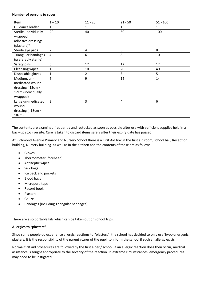#### **Number of persons to cover**

| Item                   | $1 - 10$       | $11 - 20$      | $21 - 50$      | $51 - 100$   |
|------------------------|----------------|----------------|----------------|--------------|
| Guidance leaflet       | 1              | $\mathbf{1}$   | $\mathbf{1}$   | $\mathbf{1}$ |
| Sterile, individually  | 20             | 40             | 60             | 100          |
| wrapped,               |                |                |                |              |
| adhesive dressings     |                |                |                |              |
| (plasters)*            |                |                |                |              |
| Sterile eye pads       | $\overline{2}$ | $\overline{4}$ | 6              | 8            |
| Triangular bandages    | 4              | 6              | 8              | 10           |
| (preferably sterile)   |                |                |                |              |
| Safety pins            | 6              | 12             | 12             | 12           |
| <b>Cleansing wipes</b> | 10             | 10             | 20             | 40           |
| Disposable gloves      | 1              | $\overline{2}$ | $\overline{3}$ | 5            |
| Medium, un-            | 6              | 9              | 12             | 14           |
| medicated wound        |                |                |                |              |
| dressing ~12cm x       |                |                |                |              |
| 12cm (individually     |                |                |                |              |
| wrapped)               |                |                |                |              |
| Large un-medicated     | $\overline{2}$ | 3              | 4              | 6            |
| wound                  |                |                |                |              |
| dressing (~18cm x      |                |                |                |              |
| 18cm)                  |                |                |                |              |

The contents are examined frequently and restocked as soon as possible after use with sufficient supplies held in a back-up stock on site. Care is taken to discard items safely after their expiry date has passed.

At Richmond Avenue Primary and Nursery School there is a First Aid box in the first aid room, school hall, Reception building, Nursery building as well as in the Kitchen and the contents of these are as follows:

- Gloves
- Thermometer (forehead)
- Antiseptic wipes
- Sick bags
- Ice pack and pockets
- Blood bags
- Micropore tape
- Record book
- Plasters
- Gauze
- Bandages (including Triangular bandages)

There are also portable kits which can be taken out on school trips.

#### **Allergies to "plasters"**

Since some people do experience allergic reactions to "plasters", the school has decided to only use 'hypo-allergenic' plasters. It is the responsibility of the parent /carer of the pupil to inform the school if such an allergy exists.

Normal first aid procedures are followed by the first aider / school; if an allergic reaction does then occur, medical assistance is sought appropriate to the severity of the reaction. In extreme circumstances, emergency procedures may need to be instigated.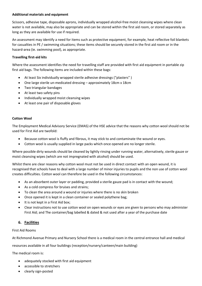#### **Additional materials and equipment**

Scissors, adhesive tape, disposable aprons, individually wrapped alcohol-free moist cleansing wipes where clean water is not available, may also be appropriate and can be stored within the first aid room, or stored separately as long as they are available for use if required.

An assessment may identify a need for items such as protective equipment, for example, heat reflective foil blankets for casualties in PE / swimming situations; these items should be securely stored in the first aid room or in the hazard-area (ie. swimming pool), as appropriate.

#### **Travelling first-aid kits**

Where the assessment identifies the need for travelling staff are provided with first aid equipment in portable zip first aid bags. The following items are included within these bags:

- At least Six individually wrapped sterile adhesive dressings ("plasters" )
- One large sterile un-medicated dressing approximately 18cm x 18cm
- Two triangular bandages
- At least two safety pins
- Individually wrapped moist cleansing wipes
- At least one pair of disposable gloves

#### **Cotton Wool**

The Employment Medical Advisory Service (EMAS) of the HSE advice that the reasons why cotton wool should not be used for First Aid are twofold:

- Because cotton wool is fluffy and fibrous, it may stick to and contaminate the wound or eyes.
- Cotton wool is usually supplied in large packs which once opened are no longer sterile.

Where possible dirty wounds should be cleaned by lightly rinsing under running water, alternatively, sterile gauze or moist cleansing wipes (which are not impregnated with alcohol) should be used.

Whilst there are clear reasons why cotton wool must not be used in direct contact with an open wound, it is recognised that schools have to deal with a large number of minor injuries to pupils and the non use of cotton wool creates difficulties. Cotton wool can therefore be used in the following circumstances:

- As an absorbent outer layer or padding, provided a sterile gauze pad is in contact with the wound;
- As a cold compress for bruises and strains;
- To clean the area around a wound or injuries where there is no skin broken
- Once opened it is kept in a clean container or sealed polythene bag;
- It is not kept in a First Aid box;
- Clear instructions not to use cotton wool on open wounds or eyes are given to persons who may administer First Aid; and The container/bag labelled & dated & not used after a year of the purchase date

#### **6. Facilities**

#### First Aid Rooms

At Richmond Avenue Primary and Nursery School there is a medical room in the central entrance hall and medical

resources available in all four buildings (reception/nursery/canteen/main building)

The medical room is:

- adequately stocked with first aid equipment
- accessible to stretchers
- clearly sign-posted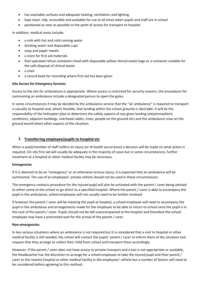- has washable surfaces and adequate heating, ventilation and lighting
- kept clean, tidy, accessible and available for use at all times when pupils and staff are in school
- positioned as near as possible to the point of access for transport to hospital

In addition, medical areas include:

- a sink with hot and cold running water
- drinking water and disposable cups
- soap and paper towels
- a store for first aid materials
- foot operated refuse containers lined with disposable yellow clinical waste bags or a container suitable for the safe disposal of clinical waste
- a chair
- a record book for recording where first aid has been given

#### **Site Access for Emergency Services**

Access to the site for ambulances is appropriate. Where access is restricted for security reasons, the procedures for summoning an ambulance include a designated person to open the gates.

In some circumstances it may be decided by the ambulance service that the "air ambulance" is required to transport a casualty to hospital and, where feasible, that landing within the school grounds is desirable. It will be the responsibility of the helicopter pilot to determine the safety aspects of any given landing site(atmospheric conditions, adjacent buildings, overhead cables, trees, people on the ground etc) and the ambulance crew on the ground would direct other aspects of the situation.

#### **7. Transferring employee/pupils to hospital etc**

When a pupil/member of staff suffers an injury (or ill-health occurrence) a decision will be made on what action is required. On-site first aid will usually be adequate in the majority of cases but in some circumstances, further treatment at a hospital or other medical facility may be necessary.

#### **Emergencies**

If it is deemed to be an "emergency" or an otherwise serious injury, it is expected that an ambulance will be summoned. The use of an employees' private vehicle should not be used in these circumstances.

The emergency contacts procedure for the injured pupil will also be activated with the parent / carer being advised to either come to the school or go direct to a specified hospital. Where the parent / carer is able to accompany the pupil in the ambulance, school employees will not usually need to be further involved.

If however the parent / carer will be meeting the pupil at hospital, a school employee will need to accompany the pupil in the ambulance and arrangements made for the employee to be able to return to school once the pupil is in the care of the parent / carer. Pupils should not be left unaccompanied at the hospital and therefore the school employee may have a protracted wait for the arrival of the parent / carer.

#### **Non-emergencies**

In less serious situations where an ambulance is not required but it is considered that a visit to hospital or other medical facility is still needed, the school will contact the pupils' parent / carer to inform them of the situation and request that they arrange to collect their child from school and transport them accordingly.

However, if the parent / carer does not have access to private transport and a taxi is not appropriate or available, the Headteacher has the discretion to arrange for a school employee to take the injured pupil and their parent / carer to the nearest hospital or other medical facility in the employees' vehicle but a number of factors will need to be considered before agreeing to this method;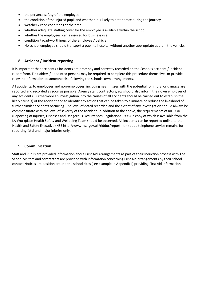- the personal safety of the employee
- the condition of the injured pupil and whether it is likely to deteriorate during the journey
- weather / road conditions at the time
- whether adequate staffing cover for the employee is available within the school
- whether the employees' car is insured for business use
- condition / road-worthiness of the employees' vehicle
- No school employee should transport a pupil to hospital without another appropriate adult in the vehicle.

#### **8. Accident / Incident reporting**

It is important that accidents / incidents are promptly and correctly recorded on the School's accident / incident report form. First aiders / appointed persons may be required to complete this procedure themselves or provide relevant information to someone else following the schools' own arrangements.

All accidents, to employees and non-employees, including near misses with the potential for injury, or damage are reported and recorded as soon as possible. Agency staff, contractors, etc should also inform their own employer of any accidents. Furthermore an investigation into the causes of all accidents should be carried out to establish the likely cause(s) of the accident and to identify any action that can be taken to eliminate or reduce the likelihood of further similar accidents occurring. The level of detail recorded and the extent of any investigation should always be commensurate with the level of severity of the accident. In addition to the above, the requirements of RIDDOR (Reporting of Injuries, Diseases and Dangerous Occurrences Regulations 1995), a copy of which is available from the LA Workplace Health Safety and Wellbeing Team should be observed. All incidents can be reported online to the Health and Safety Executive (HSE http://www.hse.gov.uk/riddor/report.htm) but a telephone service remains for reporting fatal and major injuries only.

#### **9. Communication**

Staff and Pupils are provided information about First Aid Arrangements as part of their Induction process with The School Visitors and contractors are provided with information concerning First Aid arrangements by their school contact Notices are position around the school sites (see example in Appendix I) providing First Aid information.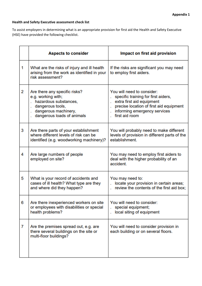#### **Health and Safety Executive assessment check list**

To assist employers in determining what is an appropriate provision for first aid the Health and Safety Executive (HSE) have provided the following checklist.

|   | <b>Aspects to consider</b>                                                                                                                                        | Impact on first aid provision                                                                                                                                                               |
|---|-------------------------------------------------------------------------------------------------------------------------------------------------------------------|---------------------------------------------------------------------------------------------------------------------------------------------------------------------------------------------|
| 1 | What are the risks of injury and ill health<br>arising from the work as identified in your<br>risk assessment?                                                    | If the risks are significant you may need<br>to employ first aiders.                                                                                                                        |
| 2 | Are there any specific risks?<br>e.g. working with;<br>hazardous substances,<br>dangerous tools,<br>ä,<br>dangerous machinery,<br>ï<br>dangerous loads of animals | You will need to consider:<br>specific training for first aiders,<br>extra first aid equipment<br>precise location of first aid equipment<br>informing emergency services<br>first aid room |
| 3 | Are there parts of your establishment<br>where different levels of risk can be<br>identified (e.g. woodworking machinery)?                                        | You will probably need to make different<br>levels of provision in different parts of the<br>establishment.                                                                                 |
| 4 | Are large numbers of people<br>employed on site?                                                                                                                  | You may need to employ first aiders to<br>deal with the higher probability of an<br>accident.                                                                                               |
| 5 | What is your record of accidents and<br>cases of ill health? What type are they<br>and where did they happen?                                                     | You may need to:<br>locate your provision in certain areas;<br>review the contents of the first aid box;                                                                                    |
| 6 | Are there inexperienced workers on site<br>or employees with disabilities or special<br>health problems?                                                          | You will need to consider:<br>special equipment;<br>local siting of equipment                                                                                                               |
| 7 | Are the premises spread out, e.g. are<br>there several buildings on the site or<br>multi-floor buildings?                                                         | You will need to consider provision in<br>each building or on several floors.                                                                                                               |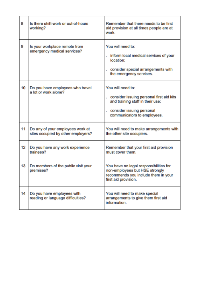| B  | Is there shift-work or out-of-hours<br>working?                        | Remember that there needs to be first<br>aid provision at all times people are at<br>work.                                                                          |
|----|------------------------------------------------------------------------|---------------------------------------------------------------------------------------------------------------------------------------------------------------------|
| g  | Is your workplace remote from<br>emergency medical services?           | You will need to:<br>inform local medical services of your<br>a.<br>location:<br>consider special arrangements with<br>the emergency services.                      |
| 10 | Do you have employees who travel<br>a lot or work alone?               | You will need to:<br>consider issuing personal first aid kits<br>and training staff in their use;<br>consider issuing personal<br>à.<br>communicators to employees. |
| 11 | Do any of your employees work at<br>sites occupied by other employers? | You will need to make arrangements with<br>the other site occupiers.                                                                                                |
| 12 | Do you have any work experience<br>trainees?                           | Remember that your first aid provision<br>must cover them.                                                                                                          |
| 13 | Do members of the public visit your<br>premises?                       | You have no legal responsibilities for<br>non-employees but HSE strongly<br>recommends you include them in your<br>first aid provision.                             |
| 14 | Do you have employees with<br>reading or language difficulties?        | You will need to make special<br>arrangements to give them first aid<br>information.                                                                                |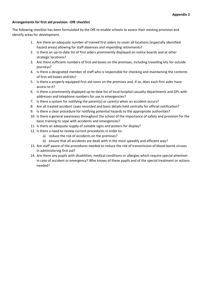#### **Arrangements for first aid provision –DfE checklist**

The following checklist has been formulated by the DfE to enable schools to assess their existing provision and identify areas for development.

- 1. Are there an adequate number of trained first aiders to cover all locations (especially identified hazard areas) allowing for staff absences and impending retirements?
- 2. Is there an up-to-date list of first aiders prominently displayed on notice boards and at other strategic locations?
- 3. Are there sufficient numbers of first-aid boxes on the premises, including travelling kits for outside journeys?
- 4. Is there a designated member of staff who is responsible for checking and maintaining the contents of first-aid boxes and kits?
- 5. Is there a properly equipped first aid room on the premises and, if so, does each first aider have access to it?
- 6. Is there a prominently displayed up-to-date list of local hospital casualty departments and GPs with addresses and telephone numbers for use in emergencies?
- 7. Is there a system for notifying the parent(s) or carer(s) when an accident occurs?
- 8. Are all treated accident cases recorded and basic details held centrally for official notification?
- 9. Is there a clear procedure for notifying potential hazards to the appropriate authorities?
- 10. Is there a general awareness throughout the school of the importance of safety and provision for the basic training to cope with accidents and emergencies?
- 11. Is there an adequate supply of suitable signs and posters for display?
- 12. Is there a need to review current procedures in order to:
	- a) reduce the risk of accidents on the premises?
	- b) ensure that all accidents are dealt with in the most speedily and efficient way?
- 13. Are staff aware of the procedures needed to reduce the risk of transmission of blood-borne viruses in administering first aid?
- 14. Are there any pupils with disabilities, medical conditions or allergies which require special attention in case of accident or emergency? Who knows of these pupils and of the special treatment or actions needed?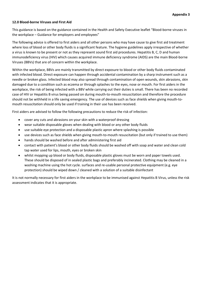#### **12.0 Blood-borne Viruses and First Aid**

This guidance is based on the guidance contained in the Health and Safety Executive leaflet "Blood-borne viruses in the workplace – Guidance for employers and employees"

The following advice is offered to first aiders and all other persons who may have cause to give first aid treatment where loss of blood or other body fluids is a significant feature. The hygiene guidelines apply irrespective of whether a virus is known to be present or not as they represent sound first aid procedures. Hepatitis B, C, D and human immunodeficiency virus (HIV) which causes acquired immune deficiency syndrome (AIDS) are the main Blood-borne Viruses (BBVs) that are of concern within the workplace.

Within the workplace, BBVs are mainly transmitted by direct exposure to blood or other body fluids contaminated with infected blood. Direct exposure can happen through accidental contamination by a sharp instrument such as a needle or broken glass. Infected blood may also spread through contamination of open wounds, skin abrasions, skin damaged due to a condition such as eczema or through splashes to the eyes, nose or mouth. For first aiders in the workplace, the risk of being infected with a BBV while carrying out their duties is small. There has been no recorded case of HIV or Hepatitis B virus being passed on during mouth-to-mouth resuscitation and therefore the procedure should not be withheld in a life saving emergency. The use of devices such as face shields when giving mouth-tomouth resuscitation should only be used if training in their use has been received.

First aiders are advised to follow the following precautions to reduce the risk of infection:

- cover any cuts and abrasions on your skin with a waterproof dressing
- wear suitable disposable gloves when dealing with blood or any other body fluids
- use suitable eye protection and a disposable plastic apron where splashing is possible
- use devices such as face shields when giving mouth-to-mouth resuscitation (but only if trained to use them)
- hands should be washed before and after administering first aid
- contact with patient's blood or other body fluids should be washed off with soap and water and clean cold tap water used for lips, mouth, eyes or broken skin
- whilst mopping up blood or body fluids, disposable plastic gloves must be worn and paper towels used. These should be disposed of in sealed plastic bags and preferably incinerated. Clothing may be cleaned in a washing machine using the hot cycle. surfaces and re-usable personal protective equipment (e.g. eye protection) should be wiped down / cleaned with a solution of a suitable disinfectant

It is not normally necessary for first aiders in the workplace to be immunised against Hepatitis B Virus, unless the risk assessment indicates that it is appropriate.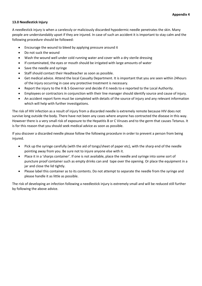#### **13.0 Needlestick Injury**

A needlestick injury is when a carelessly or maliciously discarded hypodermic needle penetrates the skin. Many people are understandably upset if they are injured. In case of such an accident it is important to stay calm and the following procedure should be followed:

- Encourage the wound to bleed by applying pressure around it
- Do not suck the wound
- Wash the wound well under cold running water and cover with a dry sterile dressing
- If contaminated, the eyes or mouth should be irrigated with large amounts of water
- Save the needle and syringe
- Staff should contact their Headteacher as soon as possible.
- Get medical advice. Attend the local Casualty Department. It is important that you are seen within 24hours of the injury occurring in case any protective treatment is necessary.
- Report the injury to the H & S Governor and decide if it needs to e reported to the Local Authority.
- Employees or contractors in conjunction with their line manager should identify source and cause of injury.
- An accident report form must be completed with details of the source of injury and any relevant information which will help with further investigations.

The risk of HIV infection as a result of injury from a discarded needle is extremely remote because HIV does not survive long outside the body. There have not been any cases where anyone has contracted the disease in this way. However there is a very small risk of exposure to the Hepatitis B or C Viruses and to the germ that causes Tetanus. It is for this reason that you should seek medical advice as soon as possible.

If you discover a discarded needle please follow the following procedure in order to prevent a person from being injured.

- Pick up the syringe carefully (with the aid of tongs/sheet of paper etc), with the sharp end of the needle pointing away from you. Be sure not to injure anyone else with it.
- Place it in a 'sharps container'. If one is not available, place the needle and syringe into some sort of puncture proof container such as empty drinks can and tape over the opening. Or place the equipment in a jar and close the lid tightly.
- Please label this container as to its contents. Do not attempt to separate the needle from the syringe and please handle it as little as possible.

The risk of developing an infection following a needlestick injury is extremely small and will be reduced still further by following the above advice.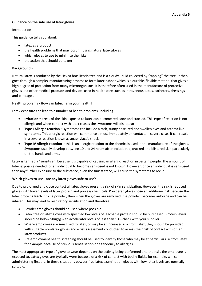#### **Guidance on the safe use of latex gloves**

#### Introduction

This guidance tells you about;

- latex as a product
- the health problems that may occur if using natural latex gloves
- which gloves to use to minimise the risks
- the action that should be taken

#### **Background** -

Natural latex is produced by the Hevea brasiliensis tree and is a cloudy liquid collected by "tapping" the tree. It then goes through a complex manufacturing process to form latex rubber which is a durable, flexible material that gives a high degree of protection from many microorganisms. It is therefore often used in the manufacture of protective gloves and other medical products and devices used in health care such as intravenous tubes, catheters, dressings and bandages.

#### **Health problems - How can latex harm your health?**

Latex exposure can lead to a number of health problems, including:

- **Irritation** ~ areas of the skin exposed to latex can become red, sore and cracked. This type of reaction is not allergic and when contact with latex ceases the symptoms will disappear.
- **Type I Allergic reaction** ~ symptoms can include a rash, runny nose, red and swollen eyes and asthma like symptoms. This allergic reaction will commence almost immediately on contact. In severe cases it can result in a severe reaction known as anaphylactic shock.
- **Type IV Allergic reaction** ~ this is an allergic reaction to the chemicals used in the manufacture of the gloves. Symptoms usually develop between 10 and 24 hours after include red, cracked and blistered skin particularly on the hands and arms.

Latex is termed a "sensitiser" because it is capable of causing an allergic reaction in certain people. The amount of latex exposure needed for an individual to become sensitised is not known. However, once an individual is sensitised then any further exposure to the substance, even the tiniest trace, will cause the symptoms to recur.

#### **Which gloves to use - are any latex gloves safe to use?**

Due to prolonged and close contact all latex gloves present a risk of skin sensitisation. However, the risk is reduced in gloves with lower levels of latex protein and process chemicals. Powdered gloves pose an additional risk because the latex proteins leach into he powder, then when the gloves are removed, the powder becomes airborne and can be inhaled. This may lead to respiratory sensitisation and therefore:

- Powder-free gloves should be used where possible.
- Latex free or latex gloves with specified low levels of leachable protein should be purchased (Protein levels should be below 50ug/g with accelerator levels of less than 1% - check with your supplier).
- Where employees are sensitised to latex, or may be at increased risk from latex, they should be provided with suitable non-latex gloves and a risk assessment conducted to assess their risk of contact with other latex products.
- Pre-employment health screening should be used to identify those who may be at particular risk from latex, for example because of previous sensitisation or a tendency to allergies.

The most appropriate type of glove to wear depends on the activity being performed and the risks the employee is exposed to. Latex gloves are typically worn because of a risk of contact with bodily fluids, for example, whilst administering first aid. In these situations powder free latex examination gloves with low latex levels are normally suitable.